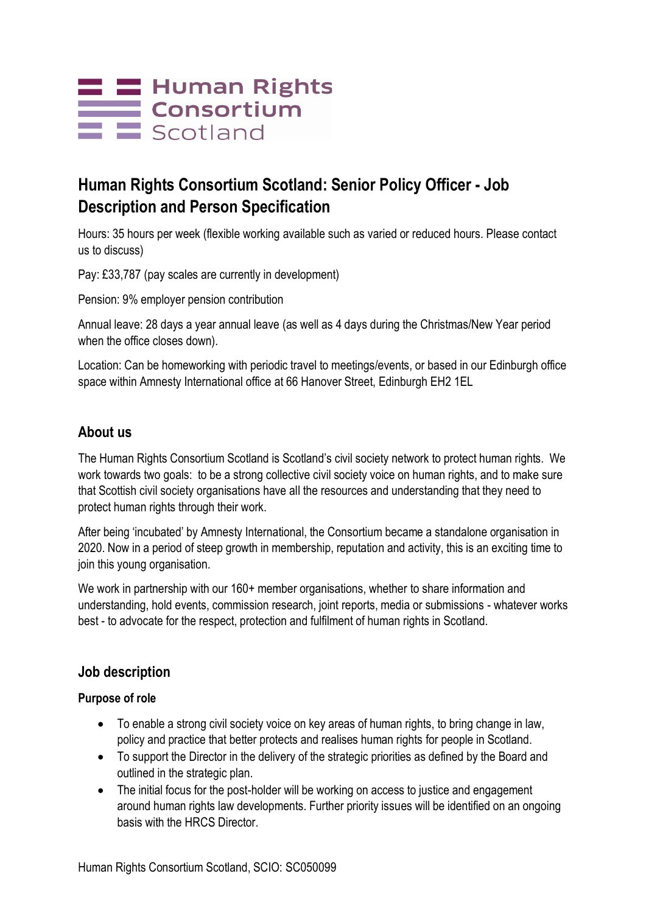# **E E** Human Rights<br>Consortium  $\equiv$   $\equiv$  Scotland

# **Human Rights Consortium Scotland: Senior Policy Officer - Job Description and Person Specification**

Hours: 35 hours per week (flexible working available such as varied or reduced hours. Please contact us to discuss)

Pay: £33,787 (pay scales are currently in development)

Pension: 9% employer pension contribution

Annual leave: 28 days a year annual leave (as well as 4 days during the Christmas/New Year period when the office closes down).

Location: Can be homeworking with periodic travel to meetings/events, or based in our Edinburgh office space within Amnesty International office at 66 Hanover Street, Edinburgh EH2 1EL

## **About us**

The Human Rights Consortium Scotland is Scotland's civil society network to protect human rights. We work towards two goals: to be a strong collective civil society voice on human rights, and to make sure that Scottish civil society organisations have all the resources and understanding that they need to protect human rights through their work.

After being 'incubated' by Amnesty International, the Consortium became a standalone organisation in 2020. Now in a period of steep growth in membership, reputation and activity, this is an exciting time to join this young organisation.

We work in partnership with our 160+ member organisations, whether to share information and understanding, hold events, commission research, joint reports, media or submissions - whatever works best - to advocate for the respect, protection and fulfilment of human rights in Scotland.

## **Job description**

#### **Purpose of role**

- To enable a strong civil society voice on key areas of human rights, to bring change in law, policy and practice that better protects and realises human rights for people in Scotland.
- To support the Director in the delivery of the strategic priorities as defined by the Board and outlined in the strategic plan.
- The initial focus for the post-holder will be working on access to justice and engagement around human rights law developments. Further priority issues will be identified on an ongoing basis with the HRCS Director.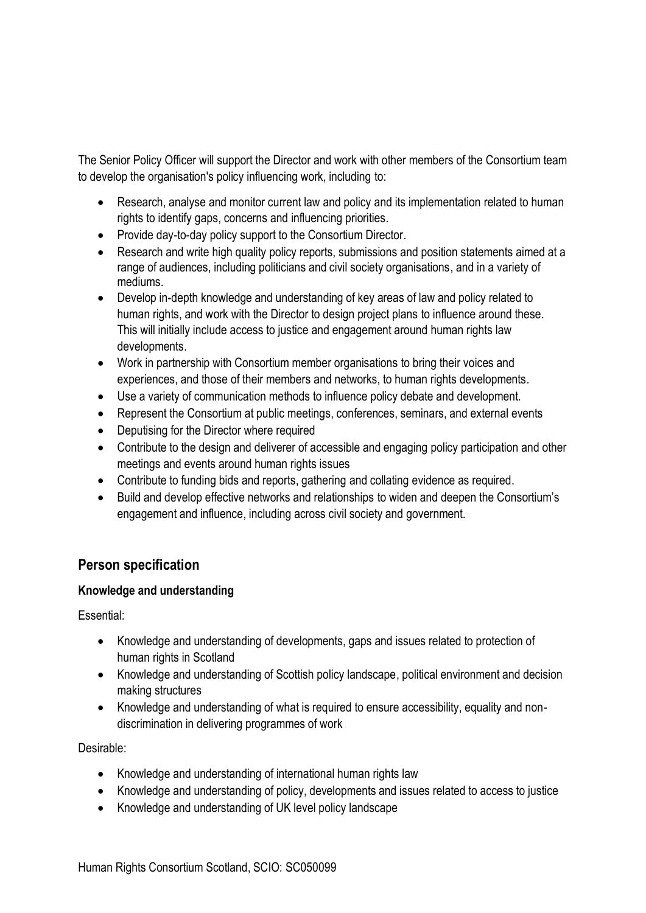The Senior Policy Officer will support the Director and work with other members of the Consortium team to develop the organisation's policy influencing work, including to:

- Research, analyse and monitor current law and policy and its implementation related to human rights to identify gaps, concerns and influencing priorities.
- Provide day-to-day policy support to the Consortium Director.
- Research and write high quality policy reports, submissions and position statements aimed at a range of audiences, including politicians and civil society organisations, and in a variety of mediums.
- Develop in-depth knowledge and understanding of key areas of law and policy related to human rights, and work with the Director to design project plans to influence around these. This will initially include access to justice and engagement around human rights law developments.
- Work in partnership with Consortium member organisations to bring their voices and experiences, and those of their members and networks, to human rights developments.
- Use a variety of communication methods to influence policy debate and development.
- Represent the Consortium at public meetings, conferences, seminars, and external events
- Deputising for the Director where required
- Contribute to the design and deliverer of accessible and engaging policy participation and other meetings and events around human rights issues
- Contribute to funding bids and reports, gathering and collating evidence as required.
- Build and develop effective networks and relationships to widen and deepen the Consortium's engagement and influence, including across civil society and government.

# **Person specification**

#### **Knowledge and understanding**

Essential:

- Knowledge and understanding of developments, gaps and issues related to protection of human rights in Scotland
- Knowledge and understanding of Scottish policy landscape, political environment and decision making structures
- Knowledge and understanding of what is required to ensure accessibility, equality and nondiscrimination in delivering programmes of work

Desirable:

- Knowledge and understanding of international human rights law
- Knowledge and understanding of policy, developments and issues related to access to justice
- Knowledge and understanding of UK level policy landscape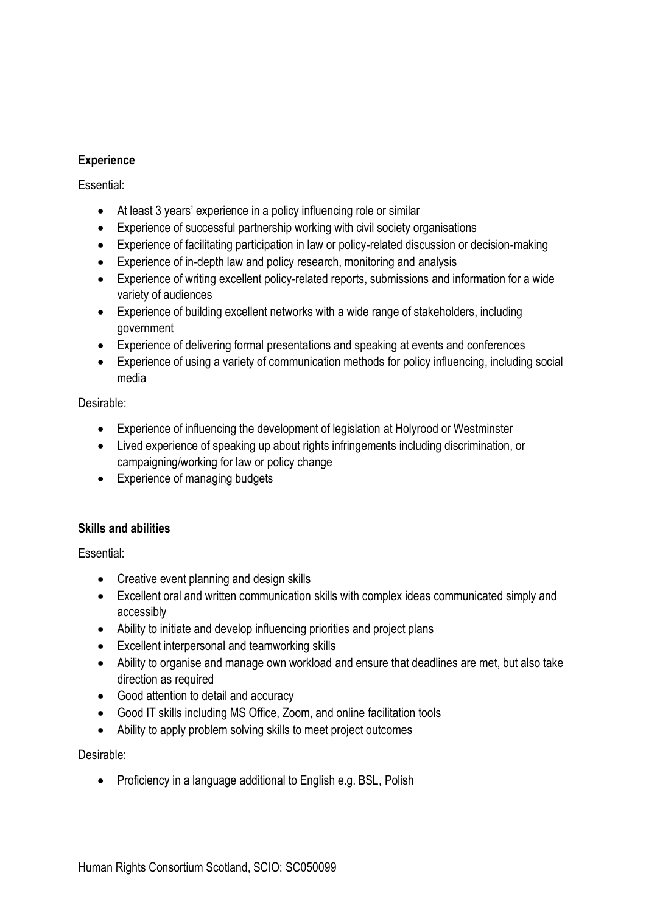#### **Experience**

#### Essential:

- At least 3 years' experience in a policy influencing role or similar
- Experience of successful partnership working with civil society organisations
- Experience of facilitating participation in law or policy-related discussion or decision-making
- Experience of in-depth law and policy research, monitoring and analysis
- Experience of writing excellent policy-related reports, submissions and information for a wide variety of audiences
- Experience of building excellent networks with a wide range of stakeholders, including government
- Experience of delivering formal presentations and speaking at events and conferences
- Experience of using a variety of communication methods for policy influencing, including social media

#### Desirable:

- Experience of influencing the development of legislation at Holyrood or Westminster
- Lived experience of speaking up about rights infringements including discrimination, or campaigning/working for law or policy change
- Experience of managing budgets

#### **Skills and abilities**

Essential:

- Creative event planning and design skills
- Excellent oral and written communication skills with complex ideas communicated simply and accessibly
- Ability to initiate and develop influencing priorities and project plans
- Excellent interpersonal and teamworking skills
- Ability to organise and manage own workload and ensure that deadlines are met, but also take direction as required
- Good attention to detail and accuracy
- Good IT skills including MS Office, Zoom, and online facilitation tools
- Ability to apply problem solving skills to meet project outcomes

#### Desirable:

• Proficiency in a language additional to English e.g. BSL, Polish